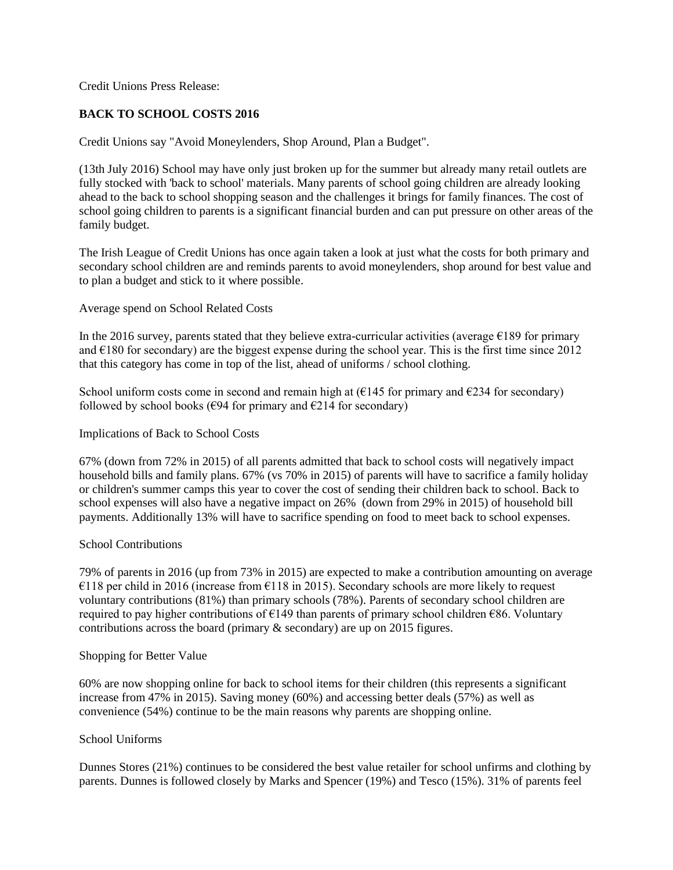Credit Unions Press Release:

# **BACK TO SCHOOL COSTS 2016**

Credit Unions say "Avoid Moneylenders, Shop Around, Plan a Budget".

(13th July 2016) School may have only just broken up for the summer but already many retail outlets are fully stocked with 'back to school' materials. Many parents of school going children are already looking ahead to the back to school shopping season and the challenges it brings for family finances. The cost of school going children to parents is a significant financial burden and can put pressure on other areas of the family budget.

The Irish League of Credit Unions has once again taken a look at just what the costs for both primary and secondary school children are and reminds parents to avoid moneylenders, shop around for best value and to plan a budget and stick to it where possible.

Average spend on School Related Costs

In the 2016 survey, parents stated that they believe extra-curricular activities (average  $\epsilon$ 189 for primary and  $\epsilon$ 180 for secondary) are the biggest expense during the school year. This is the first time since 2012 that this category has come in top of the list, ahead of uniforms / school clothing.

School uniform costs come in second and remain high at  $(\epsilon 145$  for primary and  $\epsilon 234$  for secondary) followed by school books ( $\epsilon$ 94 for primary and  $\epsilon$ 214 for secondary)

Implications of Back to School Costs

67% (down from 72% in 2015) of all parents admitted that back to school costs will negatively impact household bills and family plans. 67% (vs 70% in 2015) of parents will have to sacrifice a family holiday or children's summer camps this year to cover the cost of sending their children back to school. Back to school expenses will also have a negative impact on 26% (down from 29% in 2015) of household bill payments. Additionally 13% will have to sacrifice spending on food to meet back to school expenses.

## School Contributions

79% of parents in 2016 (up from 73% in 2015) are expected to make a contribution amounting on average €118 per child in 2016 (increase from €118 in 2015). Secondary schools are more likely to request voluntary contributions (81%) than primary schools (78%). Parents of secondary school children are required to pay higher contributions of  $\epsilon$ 149 than parents of primary school children  $\epsilon$ 86. Voluntary contributions across the board (primary & secondary) are up on 2015 figures.

#### Shopping for Better Value

60% are now shopping online for back to school items for their children (this represents a significant increase from 47% in 2015). Saving money (60%) and accessing better deals (57%) as well as convenience (54%) continue to be the main reasons why parents are shopping online.

#### School Uniforms

Dunnes Stores (21%) continues to be considered the best value retailer for school unfirms and clothing by parents. Dunnes is followed closely by Marks and Spencer (19%) and Tesco (15%). 31% of parents feel